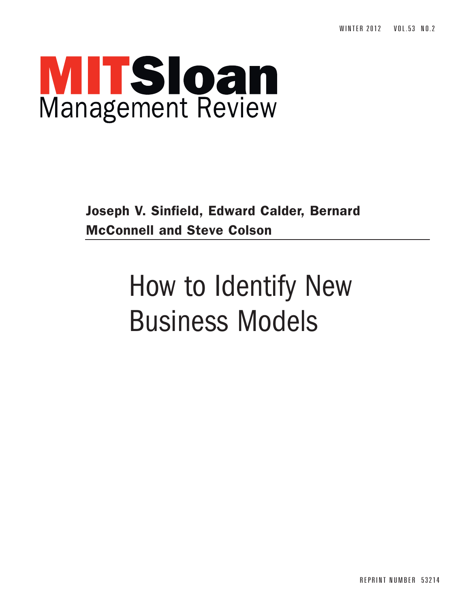# **MITSIoan** Management Review

Joseph V. Sinfield, Edward Calder, Bernard McConnell and Steve Colson

# How to Identify New Business Models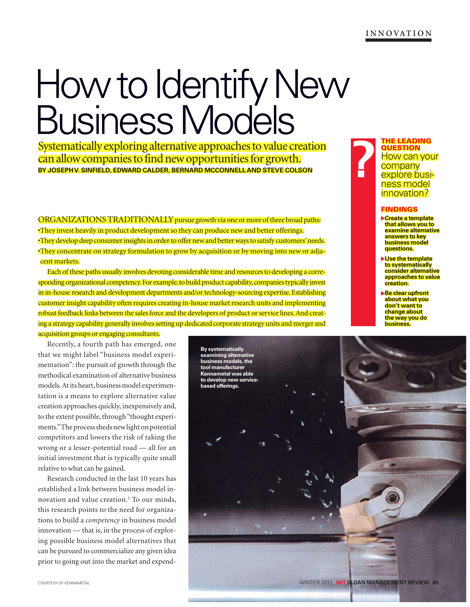# How to Identify New Business Models

Systematically exploring alternative approaches to value creation can allow companies to find new opportunities for growth. **BY JOSEPH V. SINFIELD, EDWARD CALDER, BERNARD MCCONNELL AND STEVE COLSON**

ORGANIZATIONS TRADITIONALLY pursue growth via one or more of three broad paths: •They invest heavily in product development so they can produce new and better offerings. •They develop deep consumer insights in order to offer new and better ways to satisfy customers' needs. • They concentrate on strategy formulation to grow by acquisition or by moving into new or adjacent markets.

Each of these paths usually involves devoting considerable time and resources to developing a corresponding organizational competency. For example, to build product capability, companies typically invest in in-house research and development departments and/or technology-sourcing expertise. Establishing customer insight capability often requires creating in-house market research units and implementing robust feedback links between the sales force and the developers of product or service lines. And creating a strategy capability generally involves setting up dedicated corporate strategy units and merger and

acquisition groups or engaging consultants.

Recently, a fourth path has emerged, one that we might label "business model experimentation": the pursuit of growth through the methodical examination of alternative business models. At its heart, business model experimentation is a means to explore alternative value creation approaches quickly, inexpensively and, to the extent possible, through "thought experiments." The process sheds new light on potential competitors and lowers the risk of taking the wrong or a lesser-potential road — all for an initial investment that is typically quite small relative to what can be gained.

Research conducted in the last 10 years has established a link between business model innovation and value creation.<sup>1</sup> To our minds, this research points to the need for organizations to build a *competency* in business model innovation — that is, in the process of exploring possible business model alternatives that can be pursued to commercialize any given idea prior to going out into the market and expend**QUESTION** How can your company explore business model innovation?

THE LEADING

#### FINDINGS

- **Create a template that allows you to examine alternative answers to key business model questions.**
- **Use the template to systematically consider alternative approaches to value creation.**
- **Be clear upfront about what you don't want to change about the way you do business.**

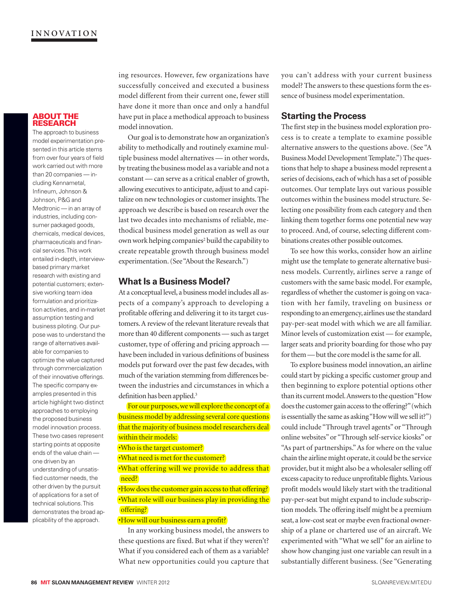#### ABOUT THE RESEARCH

The approach to business model experimentation presented in this article stems from over four years of field work carried out with more than 20 companies — including Kennametal, Infineum, Johnson & Johnson, P&G and Medtronic — in an array of industries, including consumer packaged goods, chemicals, medical devices, pharmaceuticals and financial services. This work entailed in-depth, interviewbased primary market research with existing and potential customers; extensive working team idea formulation and prioritization activities, and in-market assumption testing and business piloting. Our purpose was to understand the range of alternatives available for companies to optimize the value captured through commercialization of their innovative offerings. The specific company examples presented in this article highlight two distinct approaches to employing the proposed business model innovation process. These two cases represent starting points at opposite ends of the value chain one driven by an understanding of unsatisfied customer needs, the

other driven by the pursuit of applications for a set of technical solutions. This demonstrates the broad applicability of the approach.

ing resources. However, few organizations have successfully conceived and executed a business model different from their current one, fewer still have done it more than once and only a handful have put in place a methodical approach to business model innovation.

Our goal is to demonstrate how an organization's ability to methodically and routinely examine multiple business model alternatives — in other words, by treating the business model as a variable and not a constant — can serve as a critical enabler of growth, allowing executives to anticipate, adjust to and capitalize on new technologies or customer insights. The approach we describe is based on research over the last two decades into mechanisms of reliable, methodical business model generation as well as our own work helping companies<sup>2</sup> build the capability to create repeatable growth through business model experimentation. (See "About the Research.")

### **What Is a Business Model?**

At a conceptual level, a business model includes all aspects of a company's approach to developing a profitable offering and delivering it to its target customers. A review of the relevant literature reveals that more than 40 different components — such as target customer, type of offering and pricing approach have been included in various definitions of business models put forward over the past few decades, with much of the variation stemming from differences between the industries and circumstances in which a definition has been applied.<sup>3</sup>

For our purposes, we will explore the concept of a business model by addressing several core questions that the majority of business model researchers deal within their models:

•Who is the target customer?

•What need is met for the customer?

• What offering will we provide to address that need?

•How does the customer gain access to that offering? • What role will our business play in providing the offering?

#### •How will our business earn a profit?

In any working business model, the answers to these questions are fixed. But what if they weren't? What if you considered each of them as a variable? What new opportunities could you capture that you can't address with your current business model? The answers to these questions form the essence of business model experimentation.

# **Starting the Process**

The first step in the business model exploration process is to create a template to examine possible alternative answers to the questions above. (See "A Business Model Development Template.") The questions that help to shape a business model represent a series of decisions, each of which has a set of possible outcomes. Our template lays out various possible outcomes within the business model structure. Selecting one possibility from each category and then linking them together forms one potential new way to proceed. And, of course, selecting different combinations creates other possible outcomes.

To see how this works, consider how an airline might use the template to generate alternative business models. Currently, airlines serve a range of customers with the same basic model. For example, regardless of whether the customer is going on vacation with her family, traveling on business or responding to an emergency, airlines use the standard pay-per-seat model with which we are all familiar. Minor levels of customization exist — for example, larger seats and priority boarding for those who pay for them — but the core model is the same for all.

To explore business model innovation, an airline could start by picking a specific customer group and then beginning to explore potential options other than its current model. Answers to the question "How does the customer gain access to the offering?" (which is essentially the same as asking "How will we sell it?") could include "Through travel agents" or "Through online websites" or "Through self-service kiosks" or "As part of partnerships." As for where on the value chain the airline might operate, it could be the service provider, but it might also be a wholesaler selling off excess capacity to reduce unprofitable flights. Various profit models would likely start with the traditional pay-per-seat but might expand to include subscription models. The offering itself might be a premium seat, a low-cost seat or maybe even fractional ownership of a plane or chartered use of an aircraft. We experimented with "What we sell" for an airline to show how changing just one variable can result in a substantially different business. (See "Generating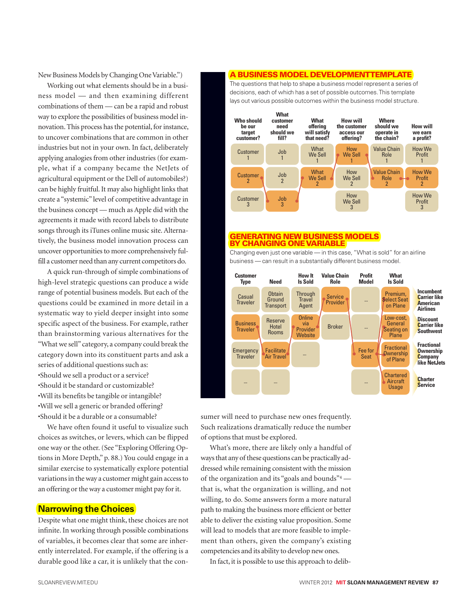New Business Models by Changing One Variable.")

Working out what elements should be in a business model — and then examining different combinations of them — can be a rapid and robust way to explore the possibilities of business model innovation. This process has the potential, for instance, to uncover combinations that are common in other industries but not in your own. In fact, deliberately applying analogies from other industries (for example, what if a company became the NetJets of agricultural equipment or the Dell of automobiles?) can be highly fruitful. It may also highlight links that create a "systemic" level of competitive advantage in the business concept — much as Apple did with the agreements it made with record labels to distribute songs through its iTunes online music site. Alternatively, the business model innovation process can uncover opportunities to more comprehensively fulfill a customer need than any current competitors do.

A quick run-through of simple combinations of high-level strategic questions can produce a wide range of potential business models. But each of the questions could be examined in more detail in a systematic way to yield deeper insight into some specific aspect of the business. For example, rather than brainstorming various alternatives for the "What we sell" category, a company could break the category down into its constituent parts and ask a series of additional questions such as: •Should we sell a product or a service? •Should it be standard or customizable? •Will its benefits be tangible or intangible? •Will we sell a generic or branded offering? •Should it be a durable or a consumable?

We have often found it useful to visualize such choices as switches, or levers, which can be flipped one way or the other. (See "Exploring Offering Options in More Depth," p. 88.) You could engage in a similar exercise to systematically explore potential variations in the way a customer might gain access to an offering or the way a customer might pay for it.

# **Narrowing the Choices**

Despite what one might think, these choices are not infinite. In working through possible combinations of variables, it becomes clear that some are inherently interrelated. For example, if the offering is a durable good like a car, it is unlikely that the con-

#### **A BUSINESS MODEL DEVELOPMENTTEMPLATE**

The questions that help to shape a business model represent a series of decisions, each of which has a set of possible outcomes. This template lays out various possible outcomes within the business model structure.



#### GENERATING NEW BUSINESS MODELS BY CHANGING ONE VARIABLE

Changing even just one variable — in this case, "What is sold" for an airline business — can result in a substantially different business model.



sumer will need to purchase new ones frequently. Such realizations dramatically reduce the number of options that must be explored.

What's more, there are likely only a handful of ways that any of these questions can be practically addressed while remaining consistent with the mission of the organization and its "goals and bounds"<sup>4</sup> that is, what the organization is willing, and not willing, to do. Some answers form a more natural path to making the business more efficient or better able to deliver the existing value proposition. Some will lead to models that are more feasible to implement than others, given the company's existing competencies and its ability to develop new ones.

In fact, it is possible to use this approach to delib-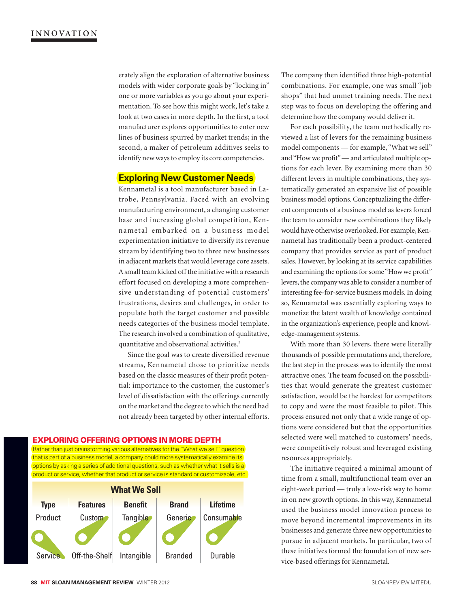erately align the exploration of alternative business models with wider corporate goals by "locking in" one or more variables as you go about your experimentation. To see how this might work, let's take a look at two cases in more depth. In the first, a tool manufacturer explores opportunities to enter new lines of business spurred by market trends; in the second, a maker of petroleum additives seeks to identify new ways to employ its core competencies.

## **Exploring New Customer Needs**

Kennametal is a tool manufacturer based in Latrobe, Pennsylvania. Faced with an evolving manufacturing environment, a changing customer base and increasing global competition, Kennametal embarked on a business model experimentation initiative to diversify its revenue stream by identifying two to three new businesses in adjacent markets that would leverage core assets. A small team kicked off the initiative with a research effort focused on developing a more comprehensive understanding of potential customers' frustrations, desires and challenges, in order to populate both the target customer and possible needs categories of the business model template. The research involved a combination of qualitative, quantitative and observational activities.<sup>5</sup>

Since the goal was to create diversified revenue streams, Kennametal chose to prioritize needs based on the classic measures of their profit potential: importance to the customer, the customer's level of dissatisfaction with the offerings currently on the market and the degree to which the need had not already been targeted by other internal efforts.

#### EXPLORING OFFERING OPTIONS IN MORE DEPTH

Rather than just brainstorming various alternatives for the "What we sell" question that is part of a business model, a company could more systematically examine its options by asking a series of additional questions, such as whether what it sells is a product or service, whether that product or service is standard or customizable, etc.



The company then identified three high-potential combinations. For example, one was small "job shops" that had unmet training needs. The next step was to focus on developing the offering and determine how the company would deliver it.

For each possibility, the team methodically reviewed a list of levers for the remaining business model components — for example, "What we sell" and "How we profit" — and articulated multiple options for each lever. By examining more than 30 different levers in multiple combinations, they systematically generated an expansive list of possible business model options. Conceptualizing the different components of a business model as levers forced the team to consider new combinations they likely would have otherwise overlooked. For example, Kennametal has traditionally been a product-centered company that provides service as part of product sales. However, by looking at its service capabilities and examining the options for some "How we profit" levers, the company was able to consider a number of interesting fee-for-service business models. In doing so, Kennametal was essentially exploring ways to monetize the latent wealth of knowledge contained in the organization's experience, people and knowledge-management systems.

With more than 30 levers, there were literally thousands of possible permutations and, therefore, the last step in the process was to identify the most attractive ones. The team focused on the possibilities that would generate the greatest customer satisfaction, would be the hardest for competitors to copy and were the most feasible to pilot. This process ensured not only that a wide range of options were considered but that the opportunities selected were well matched to customers' needs, were competitively robust and leveraged existing resources appropriately.

The initiative required a minimal amount of time from a small, multifunctional team over an eight-week period — truly a low-risk way to home in on new growth options. In this way, Kennametal used the business model innovation process to move beyond incremental improvements in its businesses and generate three new opportunities to pursue in adjacent markets. In particular, two of these initiatives formed the foundation of new service-based offerings for Kennametal.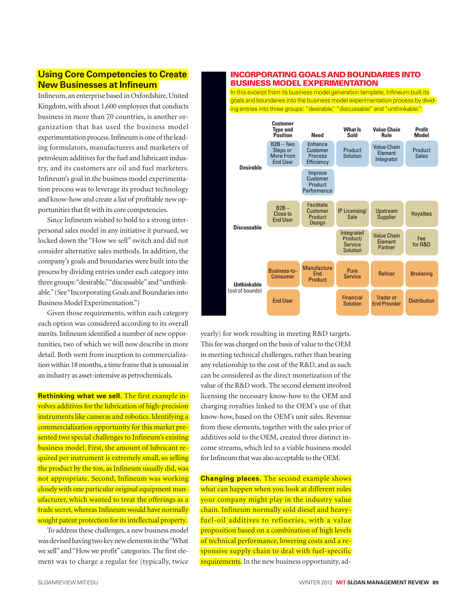# **Using Core Competencies to Create New Businesses at Infineum**

Infineum, an enterprise based in Oxfordshire, United Kingdom, with about 1,600 employees that conducts business in more than 70 countries, is another organization that has used the business model experimentation process. Infineum is one of the leading formulators, manufacturers and marketers of petroleum additives for the fuel and lubricant industry, and its customers are oil and fuel marketers. Infineum's goal in the business model experimentation process was to leverage its product technology and know-how and create a list of profitable new opportunities that fit with its core competencies.

Since Infineum wished to hold to a strong interpersonal sales model in any initiative it pursued, we locked down the "How we sell" switch and did not consider alternative sales methods. In addition, the company's goals and boundaries were built into the process by dividing entries under each category into three groups: "desirable," "discussable" and "unthinkable." (See "Incorporating Goals and Boundaries into Business Model Experimentation.")

Given those requirements, within each category each option was considered according to its overall merits. Infineum identified a number of new opportunities, two of which we will now describe in more detail. Both went from inception to commercialization within 18 months, a time frame that is unusual in an industry as asset-intensive as petrochemicals.

**Rethinking what we sell.** The first example involves additives for the lubrication of high-precision instruments like cameras and robotics. Identifying a commercialization opportunity for this market presented two special challenges to Infineum's existing business model. First, the amount of lubricant required per instrument is extremely small, so selling the product by the ton, as Infineum usually did, was not appropriate. Second, Infineum was working closely with one particular original equipment manufacturer, which wanted to treat the offerings as a trade secret, whereas Infineum would have normally sought patent protection for its intellectual property.

To address these challenges, a new business model was devised having two key new elements in the "What we sell" and "How we profit" categories. The first element was to charge a regular fee (typically, twice

#### INCORPORATING GOALS AND BOUNDARIES INTO BUSINESS MODEL EXPERIMENTATION

In this excerpt from its business model generation template, Infineum built its goals and boundaries into the business model experimentation process by dividing entries into three groups: "desirable," "discussable" and "unthinkable."



yearly) for work resulting in meeting R&D targets. This fee was charged on the basis of value to the OEM in meeting technical challenges, rather than bearing any relationship to the cost of the R&D, and as such can be considered as the direct monetization of the value of the R&D work. The second element involved licensing the necessary know-how to the OEM and charging royalties linked to the OEM's use of that know-how, based on the OEM's unit sales. Revenue from these elements, together with the sales price of additives sold to the OEM, created three distinct income streams, which led to a viable business model for Infineum that was also acceptable to the OEM.

**Changing places.** The second example shows what can happen when you look at different roles your company might play in the industry value chain. Infineum normally sold diesel and heavyfuel-oil additives to refineries, with a value proposition based on a combination of high levels of technical performance, lowering costs and a responsive supply chain to deal with fuel-specific requirements. In the new business opportunity, ad-